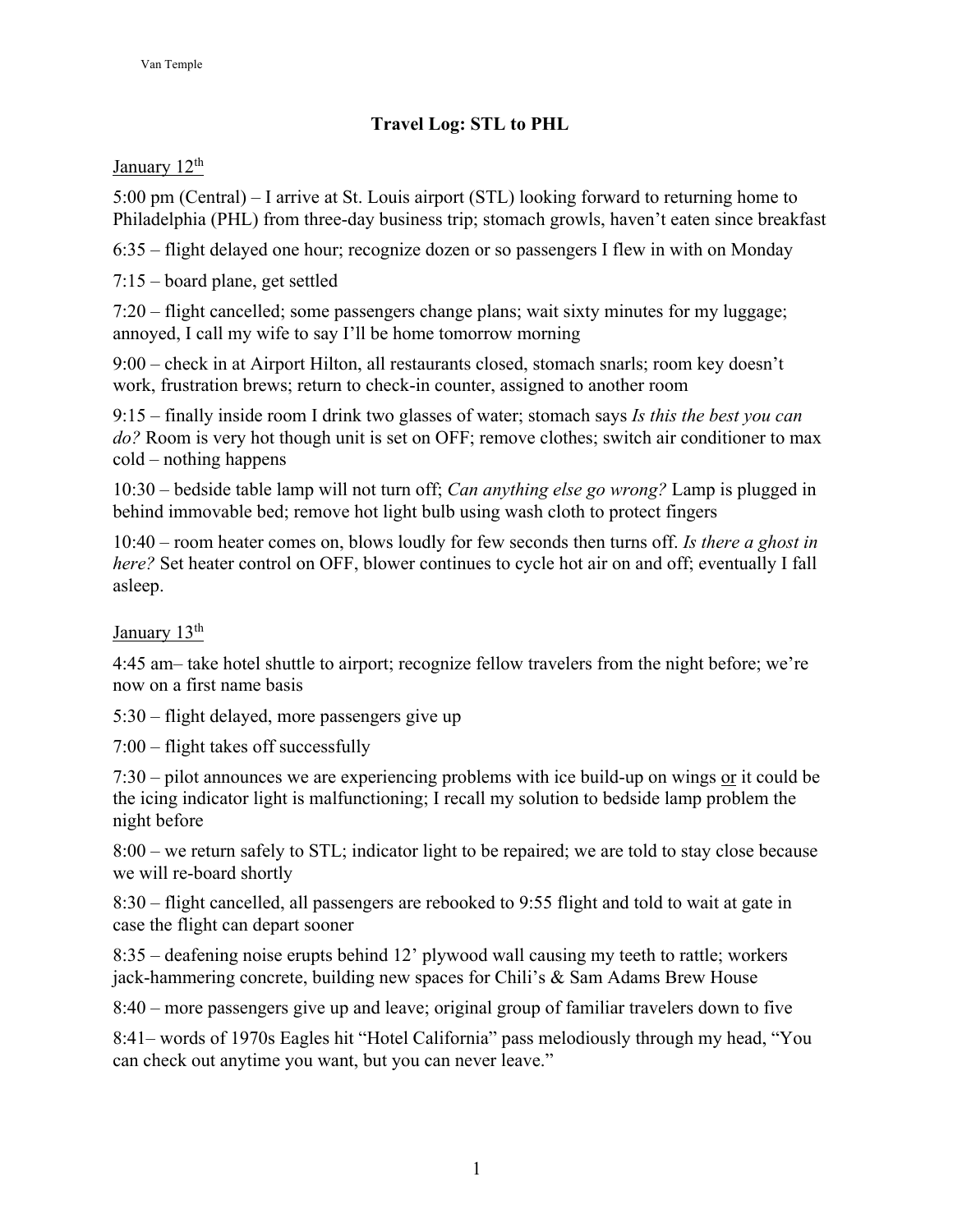## **Travel Log: STL to PHL**

## January 12<sup>th</sup>

5:00 pm (Central) – I arrive at St. Louis airport (STL) looking forward to returning home to Philadelphia (PHL) from three-day business trip; stomach growls, haven't eaten since breakfast

6:35 – flight delayed one hour; recognize dozen or so passengers I flew in with on Monday

7:15 – board plane, get settled

7:20 – flight cancelled; some passengers change plans; wait sixty minutes for my luggage; annoyed, I call my wife to say I'll be home tomorrow morning

9:00 – check in at Airport Hilton, all restaurants closed, stomach snarls; room key doesn't work, frustration brews; return to check-in counter, assigned to another room

9:15 – finally inside room I drink two glasses of water; stomach says *Is this the best you can do?* Room is very hot though unit is set on OFF; remove clothes; switch air conditioner to max cold – nothing happens

10:30 – bedside table lamp will not turn off; *Can anything else go wrong?* Lamp is plugged in behind immovable bed; remove hot light bulb using wash cloth to protect fingers

10:40 – room heater comes on, blows loudly for few seconds then turns off. *Is there a ghost in here?* Set heater control on OFF, blower continues to cycle hot air on and off; eventually I fall asleep.

## January 13<sup>th</sup>

4:45 am– take hotel shuttle to airport; recognize fellow travelers from the night before; we're now on a first name basis

5:30 – flight delayed, more passengers give up

7:00 – flight takes off successfully

7:30 – pilot announces we are experiencing problems with ice build-up on wings or it could be the icing indicator light is malfunctioning; I recall my solution to bedside lamp problem the night before

8:00 – we return safely to STL; indicator light to be repaired; we are told to stay close because we will re-board shortly

8:30 – flight cancelled, all passengers are rebooked to 9:55 flight and told to wait at gate in case the flight can depart sooner

8:35 – deafening noise erupts behind 12' plywood wall causing my teeth to rattle; workers jack-hammering concrete, building new spaces for Chili's & Sam Adams Brew House

8:40 – more passengers give up and leave; original group of familiar travelers down to five

8:41– words of 1970s Eagles hit "Hotel California" pass melodiously through my head, "You can check out anytime you want, but you can never leave."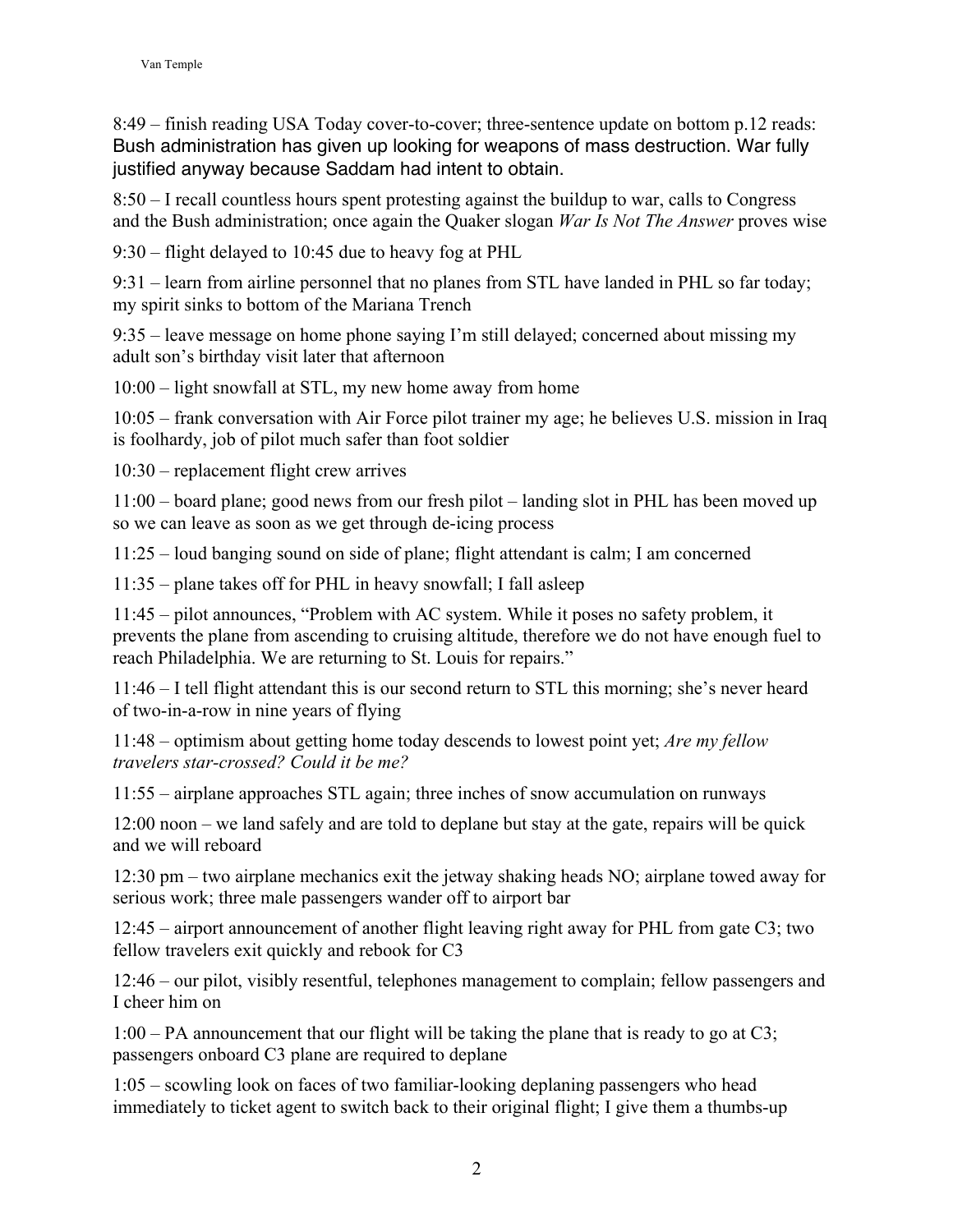8:49 – finish reading USA Today cover-to-cover; three-sentence update on bottom p.12 reads: Bush administration has given up looking for weapons of mass destruction. War fully justified anyway because Saddam had intent to obtain.

8:50 – I recall countless hours spent protesting against the buildup to war, calls to Congress and the Bush administration; once again the Quaker slogan *War Is Not The Answer* proves wise

9:30 – flight delayed to 10:45 due to heavy fog at PHL

9:31 – learn from airline personnel that no planes from STL have landed in PHL so far today; my spirit sinks to bottom of the Mariana Trench

9:35 – leave message on home phone saying I'm still delayed; concerned about missing my adult son's birthday visit later that afternoon

10:00 – light snowfall at STL, my new home away from home

10:05 – frank conversation with Air Force pilot trainer my age; he believes U.S. mission in Iraq is foolhardy, job of pilot much safer than foot soldier

10:30 – replacement flight crew arrives

11:00 – board plane; good news from our fresh pilot – landing slot in PHL has been moved up so we can leave as soon as we get through de-icing process

11:25 – loud banging sound on side of plane; flight attendant is calm; I am concerned

11:35 – plane takes off for PHL in heavy snowfall; I fall asleep

11:45 – pilot announces, "Problem with AC system. While it poses no safety problem, it prevents the plane from ascending to cruising altitude, therefore we do not have enough fuel to reach Philadelphia. We are returning to St. Louis for repairs."

11:46 – I tell flight attendant this is our second return to STL this morning; she's never heard of two-in-a-row in nine years of flying

11:48 – optimism about getting home today descends to lowest point yet; *Are my fellow travelers star-crossed? Could it be me?* 

11:55 – airplane approaches STL again; three inches of snow accumulation on runways

12:00 noon – we land safely and are told to deplane but stay at the gate, repairs will be quick and we will reboard

12:30 pm – two airplane mechanics exit the jetway shaking heads NO; airplane towed away for serious work; three male passengers wander off to airport bar

12:45 – airport announcement of another flight leaving right away for PHL from gate C3; two fellow travelers exit quickly and rebook for C3

12:46 – our pilot, visibly resentful, telephones management to complain; fellow passengers and I cheer him on

1:00 – PA announcement that our flight will be taking the plane that is ready to go at C3; passengers onboard C3 plane are required to deplane

1:05 – scowling look on faces of two familiar-looking deplaning passengers who head immediately to ticket agent to switch back to their original flight; I give them a thumbs-up